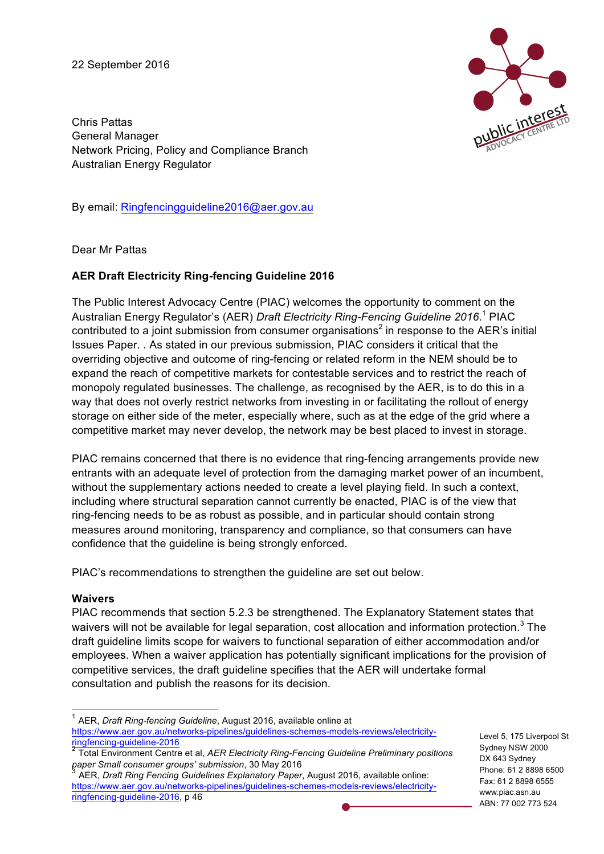22 September 2016



Chris Pattas General Manager Network Pricing, Policy and Compliance Branch Australian Energy Regulator

By email: Ringfencingguideline2016@aer.gov.au

Dear Mr Pattas

## **AER Draft Electricity Ring-fencing Guideline 2016**

The Public Interest Advocacy Centre (PIAC) welcomes the opportunity to comment on the Australian Energy Regulator's (AER) *Draft Electricity Ring-Fencing Guideline 2016*. <sup>1</sup> PIAC contributed to a joint submission from consumer organisations<sup>2</sup> in response to the AER's initial Issues Paper. . As stated in our previous submission, PIAC considers it critical that the overriding objective and outcome of ring-fencing or related reform in the NEM should be to expand the reach of competitive markets for contestable services and to restrict the reach of monopoly regulated businesses. The challenge, as recognised by the AER, is to do this in a way that does not overly restrict networks from investing in or facilitating the rollout of energy storage on either side of the meter, especially where, such as at the edge of the grid where a competitive market may never develop, the network may be best placed to invest in storage.

PIAC remains concerned that there is no evidence that ring-fencing arrangements provide new entrants with an adequate level of protection from the damaging market power of an incumbent, without the supplementary actions needed to create a level playing field. In such a context, including where structural separation cannot currently be enacted, PIAC is of the view that ring-fencing needs to be as robust as possible, and in particular should contain strong measures around monitoring, transparency and compliance, so that consumers can have confidence that the guideline is being strongly enforced.

PIAC's recommendations to strengthen the guideline are set out below.

## **Waivers**

PIAC recommends that section 5.2.3 be strengthened. The Explanatory Statement states that waivers will not be available for legal separation, cost allocation and information protection.<sup>3</sup> The draft guideline limits scope for waivers to functional separation of either accommodation and/or employees. When a waiver application has potentially significant implications for the provision of competitive services, the draft guideline specifies that the AER will undertake formal consultation and publish the reasons for its decision.

Level 5, 175 Liverpool St Sydney NSW 2000 DX 643 Sydney Phone: 61 2 8898 6500 Fax: 61 2 8898 6555 www.piac.asn.au ABN: 77 002 773 524

 <sup>1</sup> AER, *Draft Ring-fencing Guideline*, August 2016, available online at https://www.aer.gov.au/networks-pipelines/guidelines-schemes-models-reviews/electricityringfencing-guideline-2016

<sup>&</sup>lt;sup>2</sup> Total Environment Centre et al, *AER Electricity Ring-Fencing Guideline Preliminary positions* paper Small consumer groups' submission, 30 May 2016

AER, *Draft Ring Fencing Guidelines Explanatory Paper*, August 2016, available online: https://www.aer.gov.au/networks-pipelines/guidelines-schemes-models-reviews/electricityringfencing-guideline-2016, p 46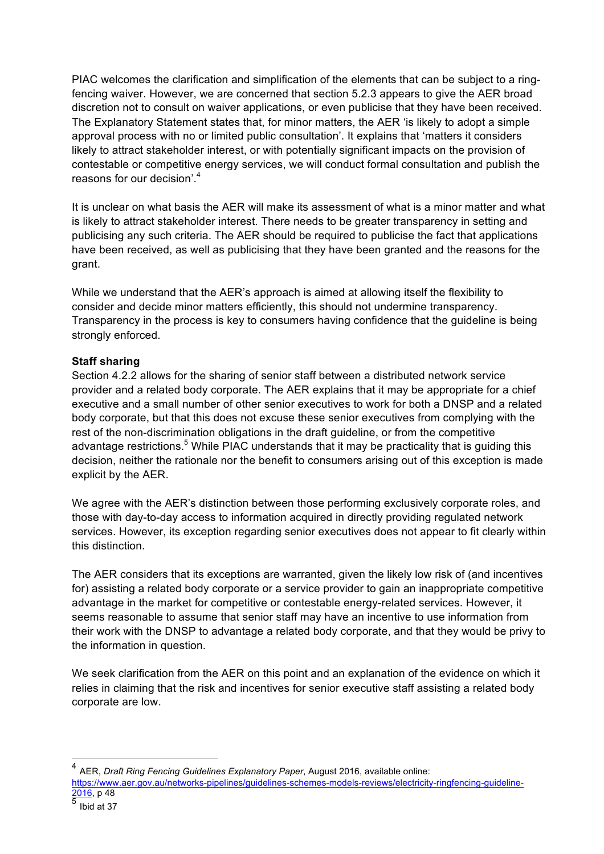PIAC welcomes the clarification and simplification of the elements that can be subject to a ringfencing waiver. However, we are concerned that section 5.2.3 appears to give the AER broad discretion not to consult on waiver applications, or even publicise that they have been received. The Explanatory Statement states that, for minor matters, the AER 'is likely to adopt a simple approval process with no or limited public consultation'. It explains that 'matters it considers likely to attract stakeholder interest, or with potentially significant impacts on the provision of contestable or competitive energy services, we will conduct formal consultation and publish the reasons for our decision'. 4

It is unclear on what basis the AER will make its assessment of what is a minor matter and what is likely to attract stakeholder interest. There needs to be greater transparency in setting and publicising any such criteria. The AER should be required to publicise the fact that applications have been received, as well as publicising that they have been granted and the reasons for the grant.

While we understand that the AER's approach is aimed at allowing itself the flexibility to consider and decide minor matters efficiently, this should not undermine transparency. Transparency in the process is key to consumers having confidence that the guideline is being strongly enforced.

## **Staff sharing**

Section 4.2.2 allows for the sharing of senior staff between a distributed network service provider and a related body corporate. The AER explains that it may be appropriate for a chief executive and a small number of other senior executives to work for both a DNSP and a related body corporate, but that this does not excuse these senior executives from complying with the rest of the non-discrimination obligations in the draft guideline, or from the competitive advantage restrictions.<sup>5</sup> While PIAC understands that it may be practicality that is guiding this decision, neither the rationale nor the benefit to consumers arising out of this exception is made explicit by the AER.

We agree with the AER's distinction between those performing exclusively corporate roles, and those with day-to-day access to information acquired in directly providing regulated network services. However, its exception regarding senior executives does not appear to fit clearly within this distinction.

The AER considers that its exceptions are warranted, given the likely low risk of (and incentives for) assisting a related body corporate or a service provider to gain an inappropriate competitive advantage in the market for competitive or contestable energy-related services. However, it seems reasonable to assume that senior staff may have an incentive to use information from their work with the DNSP to advantage a related body corporate, and that they would be privy to the information in question.

We seek clarification from the AER on this point and an explanation of the evidence on which it relies in claiming that the risk and incentives for senior executive staff assisting a related body corporate are low.

 <sup>4</sup> AER, *Draft Ring Fencing Guidelines Explanatory Paper*, August 2016, available online:

https://www.aer.gov.au/networks-pipelines/guidelines-schemes-models-reviews/electricity-ringfencing-guideline- $\frac{2016}{5}$ , p 48

Ibid at 37